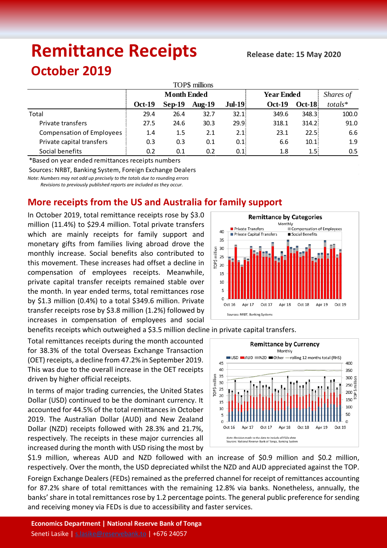# **Remittance Receipts**

## **October 2019**

| TOP\$ millions                   |                    |          |           |                   |                   |               |               |
|----------------------------------|--------------------|----------|-----------|-------------------|-------------------|---------------|---------------|
|                                  | <b>Month Ended</b> |          |           |                   | <b>Year Ended</b> |               | Shares of     |
|                                  | <b>Oct-19</b>      | $Sep-19$ | Aug- $19$ | $Jul-19$          | <b>Oct-19</b>     | <b>Oct-18</b> | $totals*$     |
| Total                            | 29.4               | 26.4     | 32.7      | 32.1:             | 349.6             | 348.3         | 100.0         |
| Private transfers                | 27.5               | 24.6     | 30.3      | 29.9 <sub>1</sub> | 318.1             | 314.2         | 91.0          |
| <b>Compensation of Employees</b> | 1.4                | 1.5      | 2.1       | 2.1:              | 23.1              | 22.51         | 6.6           |
| Private capital transfers        | 0.3                | 0.3      | 0.1       | 0.1               | 6.6               | 10.1          | 1.9           |
| Social benefits                  | 0.2                | 0.1      | 0.2       | 0.1;              | 1.8               | 1.5           | $0.5^{\circ}$ |

\*Based on year ended remittances receipts numbers

Sources: NRBT, Banking System, Foreign Exchange Dealers

*Note: Numbers may not add up precisely to the totals due to rounding errors*

 *Revisions to previously published reports are included as they occur.*

### **More receipts from the US and Australia for family support**

In October 2019, total remittance receipts rose by \$3.0 million (11.4%) to \$29.4 million. Total private transfers which are mainly receipts for family support and monetary gifts from families living abroad drove the monthly increase. Social benefits also contributed to this movement. These increases had offset a decline in compensation of employees receipts. Meanwhile, private capital transfer receipts remained stable over the month. In year ended terms, total remittances rose by \$1.3 million (0.4%) to a total \$349.6 million. Private transfer receipts rose by \$3.8 million (1.2%) followed by increases in compensation of employees and social

benefits receipts which outweighed a \$3.5 million decline in private capital transfers.

Total remittances receipts during the month accounted for 38.3% of the total Overseas Exchange Transaction (OET) receipts, a decline from 47.2% in September 2019. This was due to the overall increase in the OET receipts driven by higher official receipts.

In terms of major trading currencies, the United States Dollar (USD) continued to be the dominant currency. It accounted for 44.5% of the total remittances in October 2019. The Australian Dollar (AUD) and New Zealand Dollar (NZD) receipts followed with 28.3% and 21.7%, respectively. The receipts in these major currencies all increased during the month with USD rising the most by



\$1.9 million, whereas AUD and NZD followed with an increase of \$0.9 million and \$0.2 million, respectively. Over the month, the USD depreciated whilst the NZD and AUD appreciated against the TOP.

Foreign Exchange Dealers (FEDs) remained as the preferred channel for receipt of remittances accounting for 87.2% share of total remittances with the remaining 12.8% via banks. Nonetheless, annually, the banks' share in total remittances rose by 1.2 percentage points. The general public preference for sending and receiving money via FEDs is due to accessibility and faster services.